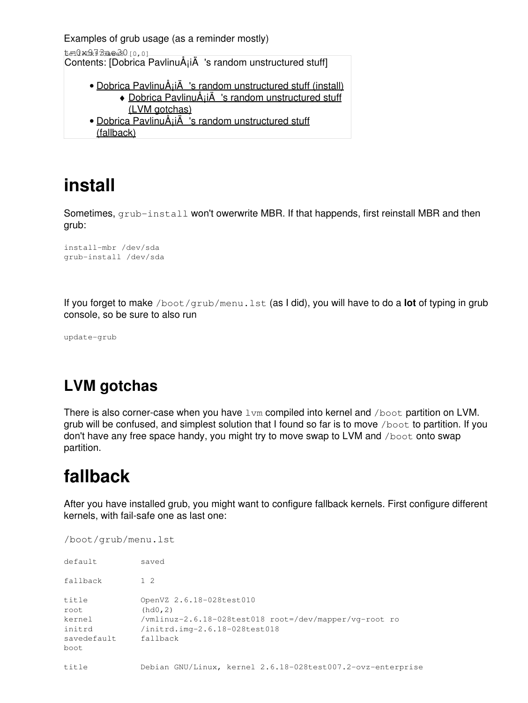Examples of grub usage (as a reminder mostly)

 $t=0$ x $273a$ e $30$  [0,0]

Contents: [Dobrica PavlinuÅ<sub>j</sub>iÄ's random unstructured stuff]

- Dobrica PavlinuÅ<sub>i</sub>jÄ 's random unstructured stuff (install) • Dobrica PavlinuA<sub>i</sub>iA 's random unstructured stuff [\(LVM gotchas\)](https://saturn.ffzg.hr/rot13/index.cgi?dobrica_pavlinu%C5%A1i%C4%87_s_random_unstructured_stuff#lvm_gotchas)
- Dobrica PavlinuA<sub>i</sub>iA 's random unstructured stuff [\(fallback\)](https://saturn.ffzg.hr/rot13/index.cgi?dobrica_pavlinu%C5%A1i%C4%87_s_random_unstructured_stuff#fallback)

## **install**

Sometimes, grub-install won't owerwrite MBR. If that happends, first reinstall MBR and then grub:

install-mbr /dev/sda grub-install /dev/sda

If you forget to make /boot/grub/menu.lst (as I did), you will have to do a **lot** of typing in grub console, so be sure to also run

update-grub

## **LVM gotchas**

There is also corner-case when you have lvm compiled into kernel and /boot partition on LVM. grub will be confused, and simplest solution that I found so far is to move /boot to partition. If you don't have any free space handy, you might try to move swap to LVM and  $/$ boot onto swap partition.

## **fallback**

After you have installed grub, you might want to configure fallback kernels. First configure different kernels, with fail-safe one as last one:

/boot/grub/menu.lst

| default                                                  | saved                                                                                                                                       |
|----------------------------------------------------------|---------------------------------------------------------------------------------------------------------------------------------------------|
| fallback                                                 | $1 \t2$                                                                                                                                     |
| title<br>root<br>kernel<br>initrd<br>savedefault<br>boot | OpenVZ 2.6.18-028test010<br>(hd0, 2)<br>/vmlinuz-2.6.18-028test018 root=/dev/mapper/vq-root ro<br>/initrd.img-2.6.18-028test018<br>fallback |
| title                                                    | Debian GNU/Linux, kernel 2.6.18-028test007.2-ovz-enterprise                                                                                 |